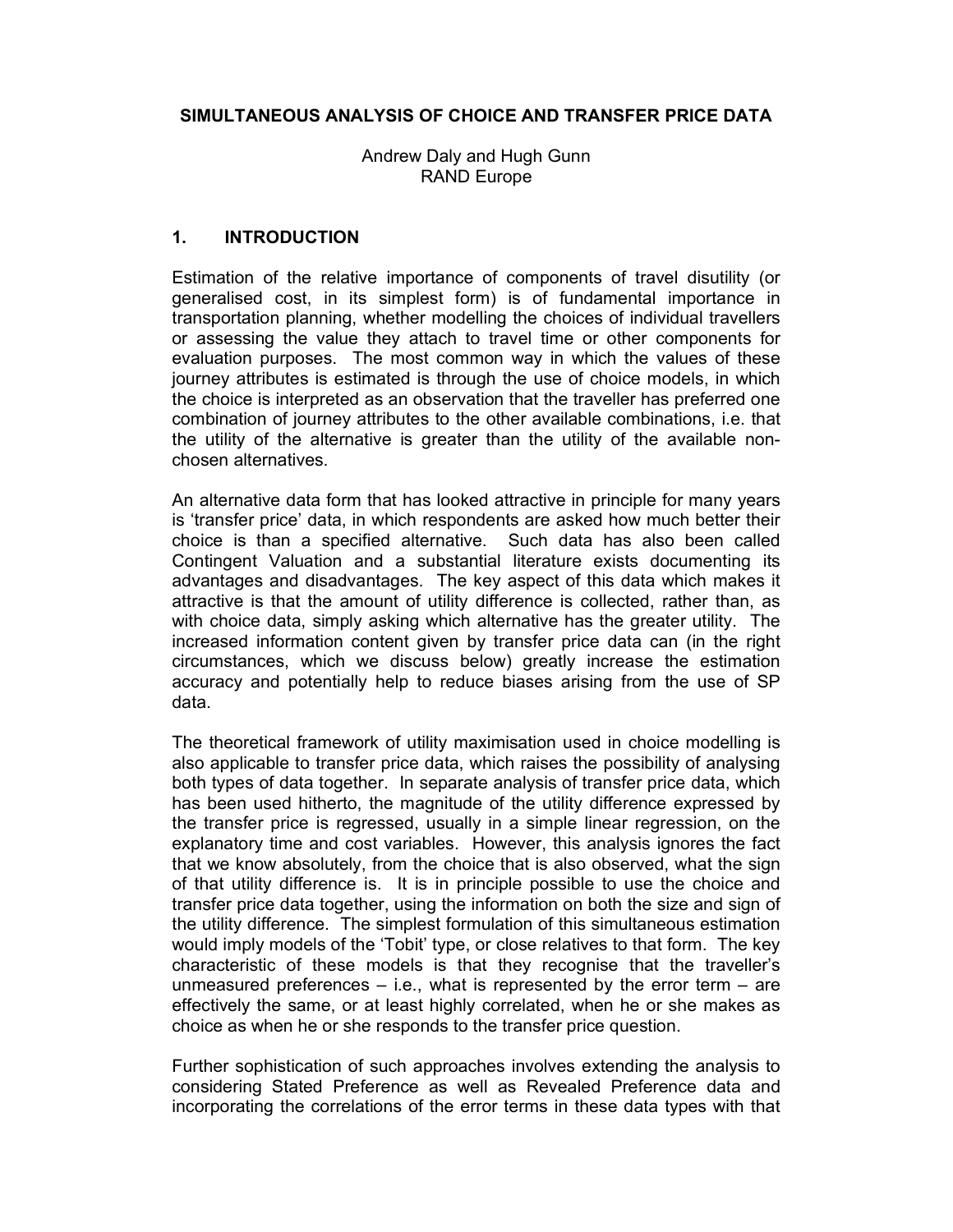### SIMULTANEOUS ANALYSIS OF CHOICE AND TRANSFER PRICE DATA

Andrew Daly and Hugh Gunn RAND Europe

### 1. INTRODUCTION

Estimation of the relative importance of components of travel disutility (or generalised cost, in its simplest form) is of fundamental importance in transportation planning, whether modelling the choices of individual travellers or assessing the value they attach to travel time or other components for evaluation purposes. The most common way in which the values of these journey attributes is estimated is through the use of choice models, in which the choice is interpreted as an observation that the traveller has preferred one combination of journey attributes to the other available combinations, i.e. that the utility of the alternative is greater than the utility of the available nonchosen alternatives.

An alternative data form that has looked attractive in principle for many years is 'transfer price' data, in which respondents are asked how much better their choice is than a specified alternative. Such data has also been called Contingent Valuation and a substantial literature exists documenting its advantages and disadvantages. The key aspect of this data which makes it attractive is that the amount of utility difference is collected, rather than, as with choice data, simply asking which alternative has the greater utility. The increased information content given by transfer price data can (in the right circumstances, which we discuss below) greatly increase the estimation accuracy and potentially help to reduce biases arising from the use of SP data.

The theoretical framework of utility maximisation used in choice modelling is also applicable to transfer price data, which raises the possibility of analysing both types of data together. In separate analysis of transfer price data, which has been used hitherto, the magnitude of the utility difference expressed by the transfer price is regressed, usually in a simple linear regression, on the explanatory time and cost variables. However, this analysis ignores the fact that we know absolutely, from the choice that is also observed, what the sign of that utility difference is. It is in principle possible to use the choice and transfer price data together, using the information on both the size and sign of the utility difference. The simplest formulation of this simultaneous estimation would imply models of the 'Tobit' type, or close relatives to that form. The key characteristic of these models is that they recognise that the traveller's unmeasured preferences  $-$  i.e., what is represented by the error term  $-$  are effectively the same, or at least highly correlated, when he or she makes as choice as when he or she responds to the transfer price question.

Further sophistication of such approaches involves extending the analysis to considering Stated Preference as well as Revealed Preference data and incorporating the correlations of the error terms in these data types with that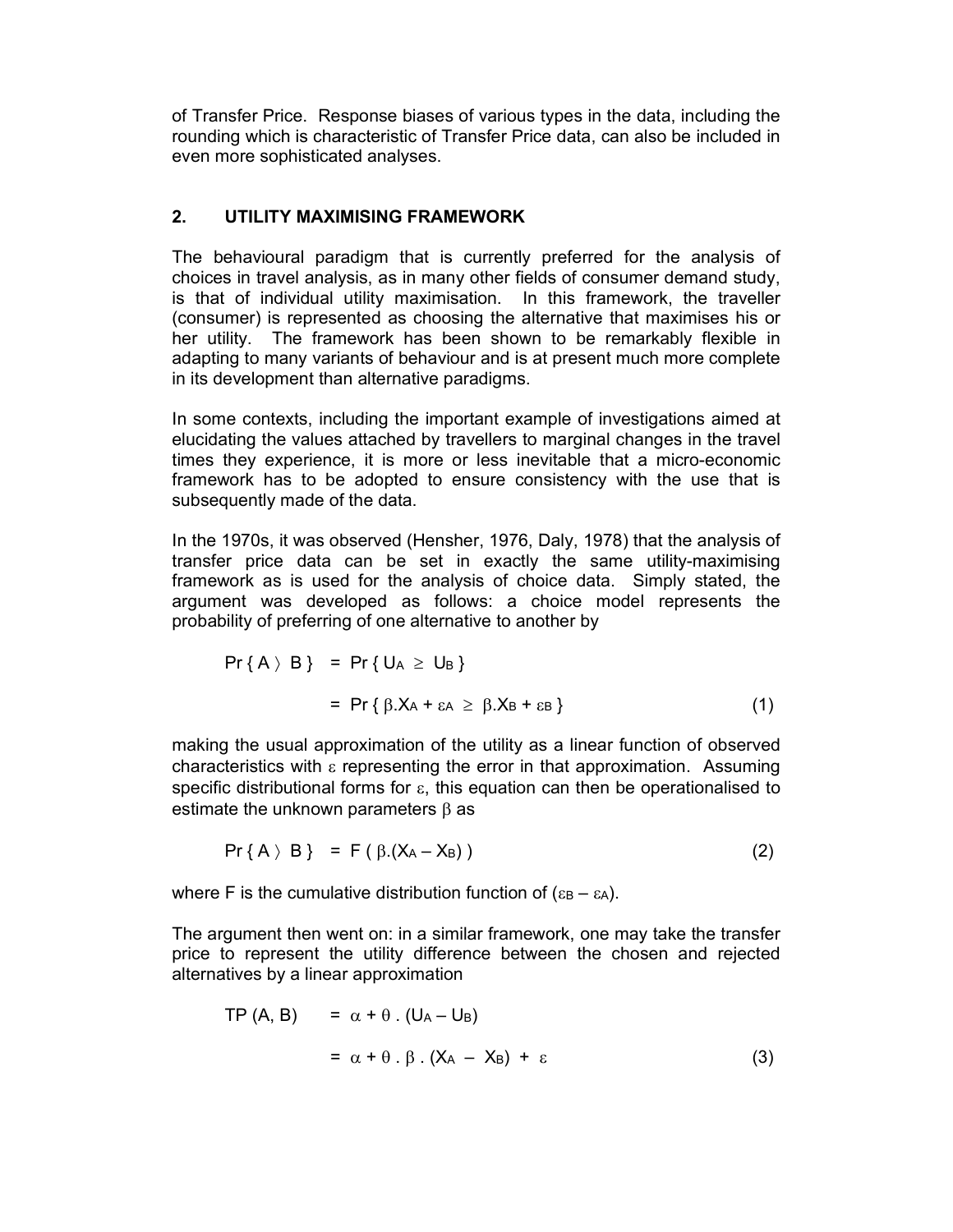of Transfer Price. Response biases of various types in the data, including the rounding which is characteristic of Transfer Price data, can also be included in even more sophisticated analyses.

## 2. UTILITY MAXIMISING FRAMEWORK

The behavioural paradigm that is currently preferred for the analysis of choices in travel analysis, as in many other fields of consumer demand study, is that of individual utility maximisation. In this framework, the traveller (consumer) is represented as choosing the alternative that maximises his or her utility. The framework has been shown to be remarkably flexible in adapting to many variants of behaviour and is at present much more complete in its development than alternative paradigms.

In some contexts, including the important example of investigations aimed at elucidating the values attached by travellers to marginal changes in the travel times they experience, it is more or less inevitable that a micro-economic framework has to be adopted to ensure consistency with the use that is subsequently made of the data.

In the 1970s, it was observed (Hensher, 1976, Daly, 1978) that the analysis of transfer price data can be set in exactly the same utility-maximising framework as is used for the analysis of choice data. Simply stated, the argument was developed as follows: a choice model represents the probability of preferring of one alternative to another by

$$
Pr\{A \setminus B\} = Pr\{U_A \geq U_B\}
$$
  
= 
$$
Pr\{\beta.X_A + \varepsilon_A \geq \beta.X_B + \varepsilon_B\}
$$
 (1)

making the usual approximation of the utility as a linear function of observed characteristics with  $\varepsilon$  representing the error in that approximation. Assuming specific distributional forms for  $\varepsilon$ , this equation can then be operationalised to estimate the unknown parameters  $\beta$  as

$$
Pr\{A \setminus B\} = F(\beta.(X_A - X_B))
$$
 (2)

where F is the cumulative distribution function of  $(\epsilon_{\rm B} - \epsilon_{\rm A})$ .

The argument then went on: in a similar framework, one may take the transfer price to represent the utility difference between the chosen and rejected alternatives by a linear approximation

$$
TP (A, B) = \alpha + \theta \cdot (U_A - U_B)
$$
  
=  $\alpha + \theta \cdot \beta \cdot (X_A - X_B) + \varepsilon$  (3)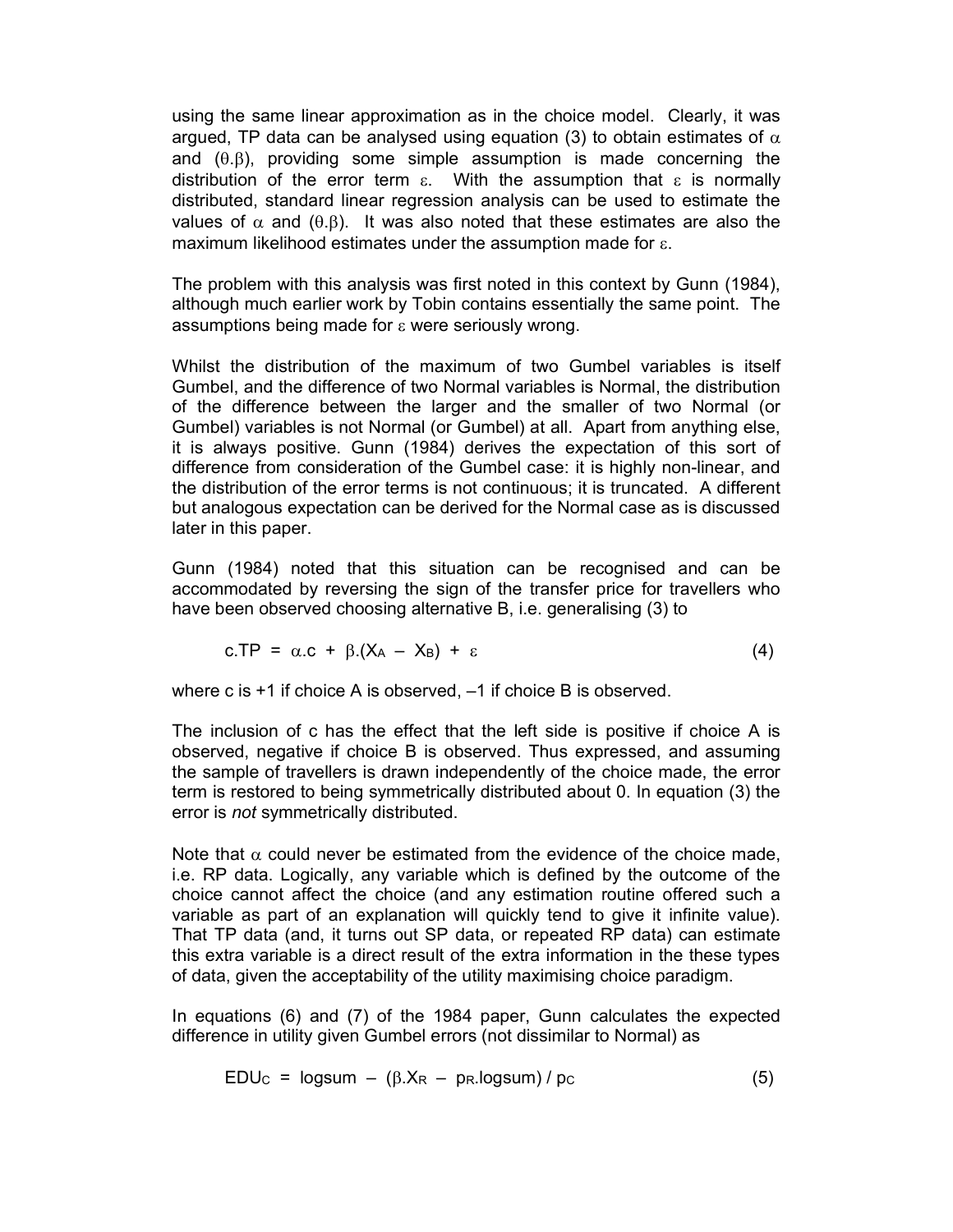using the same linear approximation as in the choice model. Clearly, it was argued, TP data can be analysed using equation (3) to obtain estimates of  $\alpha$ and  $(0.6)$ , providing some simple assumption is made concerning the distribution of the error term  $\varepsilon$ . With the assumption that  $\varepsilon$  is normally distributed, standard linear regression analysis can be used to estimate the values of  $\alpha$  and ( $\theta.\beta$ ). It was also noted that these estimates are also the maximum likelihood estimates under the assumption made for  $\varepsilon$ .

The problem with this analysis was first noted in this context by Gunn (1984), although much earlier work by Tobin contains essentially the same point. The assumptions being made for  $\varepsilon$  were seriously wrong.

Whilst the distribution of the maximum of two Gumbel variables is itself Gumbel, and the difference of two Normal variables is Normal, the distribution of the difference between the larger and the smaller of two Normal (or Gumbel) variables is not Normal (or Gumbel) at all. Apart from anything else, it is always positive. Gunn (1984) derives the expectation of this sort of difference from consideration of the Gumbel case: it is highly non-linear, and the distribution of the error terms is not continuous; it is truncated. A different but analogous expectation can be derived for the Normal case as is discussed later in this paper.

Gunn (1984) noted that this situation can be recognised and can be accommodated by reversing the sign of the transfer price for travellers who have been observed choosing alternative B, i.e. generalising (3) to

$$
c.TP = \alpha.c + \beta.(X_A - X_B) + \varepsilon \tag{4}
$$

where c is +1 if choice A is observed, –1 if choice B is observed.

The inclusion of c has the effect that the left side is positive if choice A is observed, negative if choice B is observed. Thus expressed, and assuming the sample of travellers is drawn independently of the choice made, the error term is restored to being symmetrically distributed about 0. In equation (3) the error is not symmetrically distributed.

Note that  $\alpha$  could never be estimated from the evidence of the choice made, i.e. RP data. Logically, any variable which is defined by the outcome of the choice cannot affect the choice (and any estimation routine offered such a variable as part of an explanation will quickly tend to give it infinite value). That TP data (and, it turns out SP data, or repeated RP data) can estimate this extra variable is a direct result of the extra information in the these types of data, given the acceptability of the utility maximising choice paradigm.

In equations (6) and (7) of the 1984 paper, Gunn calculates the expected difference in utility given Gumbel errors (not dissimilar to Normal) as

$$
EDUC = logsum - ( $\beta$ .X<sub>R</sub> -  $p$ <sub>R</sub>.logsum) / pc
$$
 (5)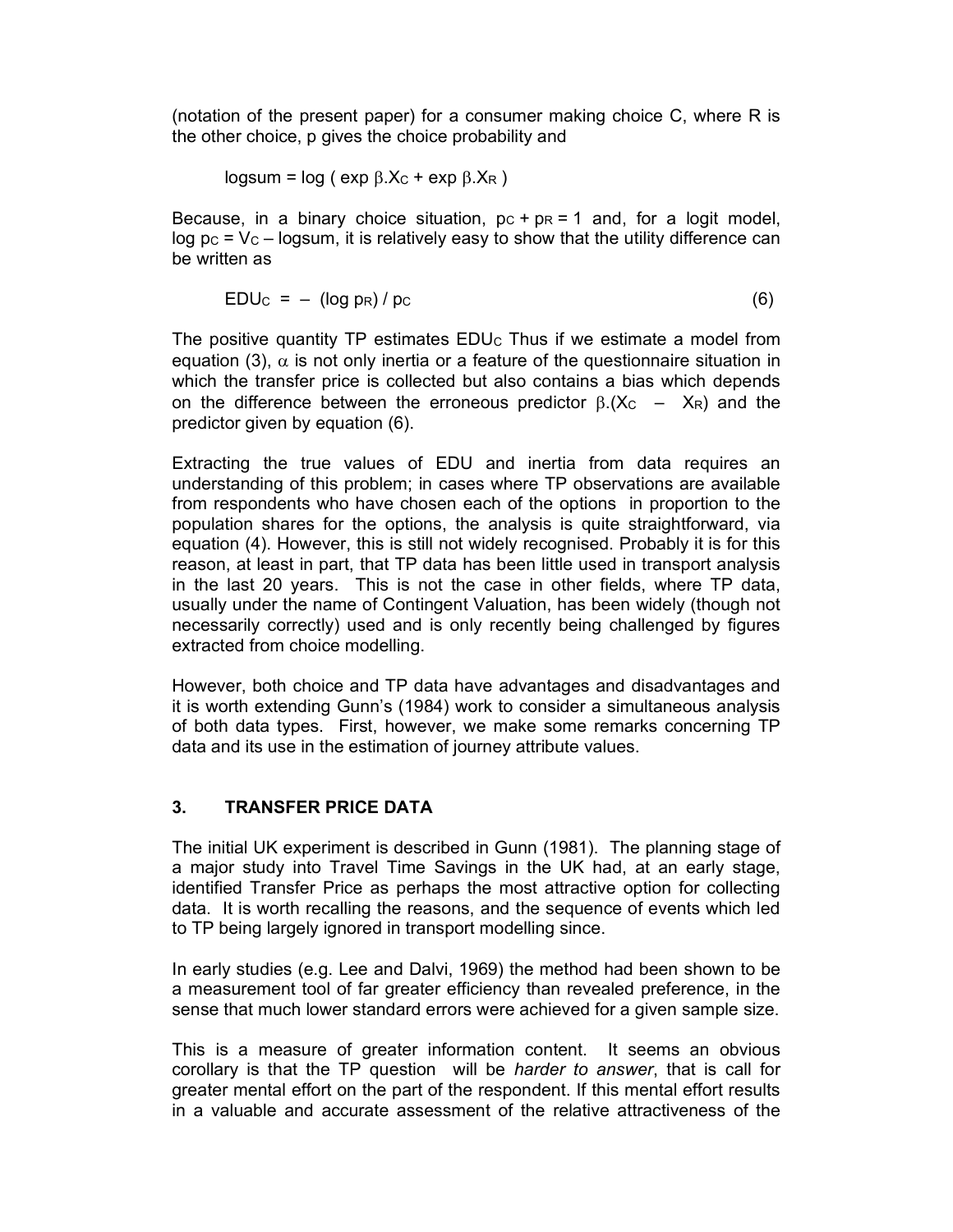(notation of the present paper) for a consumer making choice C, where R is the other choice, p gives the choice probability and

$$
logsum = log ( exp \beta.XC + exp \beta.XR )
$$

Because, in a binary choice situation,  $pc + pr = 1$  and, for a logit model, log  $pc = V_c - logsum$ , it is relatively easy to show that the utility difference can be written as

$$
EDUC = - (\log pR) / pc
$$
 (6)

The positive quantity TP estimates  $EDU<sub>C</sub>$  Thus if we estimate a model from equation (3),  $\alpha$  is not only inertia or a feature of the questionnaire situation in which the transfer price is collected but also contains a bias which depends on the difference between the erroneous predictor  $\beta$ .(X<sub>C</sub> – X<sub>R</sub>) and the predictor given by equation (6).

Extracting the true values of EDU and inertia from data requires an understanding of this problem; in cases where TP observations are available from respondents who have chosen each of the options in proportion to the population shares for the options, the analysis is quite straightforward, via equation (4). However, this is still not widely recognised. Probably it is for this reason, at least in part, that TP data has been little used in transport analysis in the last 20 years. This is not the case in other fields, where TP data, usually under the name of Contingent Valuation, has been widely (though not necessarily correctly) used and is only recently being challenged by figures extracted from choice modelling.

However, both choice and TP data have advantages and disadvantages and it is worth extending Gunn's (1984) work to consider a simultaneous analysis of both data types. First, however, we make some remarks concerning TP data and its use in the estimation of journey attribute values.

# 3. TRANSFER PRICE DATA

The initial UK experiment is described in Gunn (1981). The planning stage of a major study into Travel Time Savings in the UK had, at an early stage, identified Transfer Price as perhaps the most attractive option for collecting data. It is worth recalling the reasons, and the sequence of events which led to TP being largely ignored in transport modelling since.

In early studies (e.g. Lee and Dalvi, 1969) the method had been shown to be a measurement tool of far greater efficiency than revealed preference, in the sense that much lower standard errors were achieved for a given sample size.

This is a measure of greater information content. It seems an obvious corollary is that the TP question will be harder to answer, that is call for greater mental effort on the part of the respondent. If this mental effort results in a valuable and accurate assessment of the relative attractiveness of the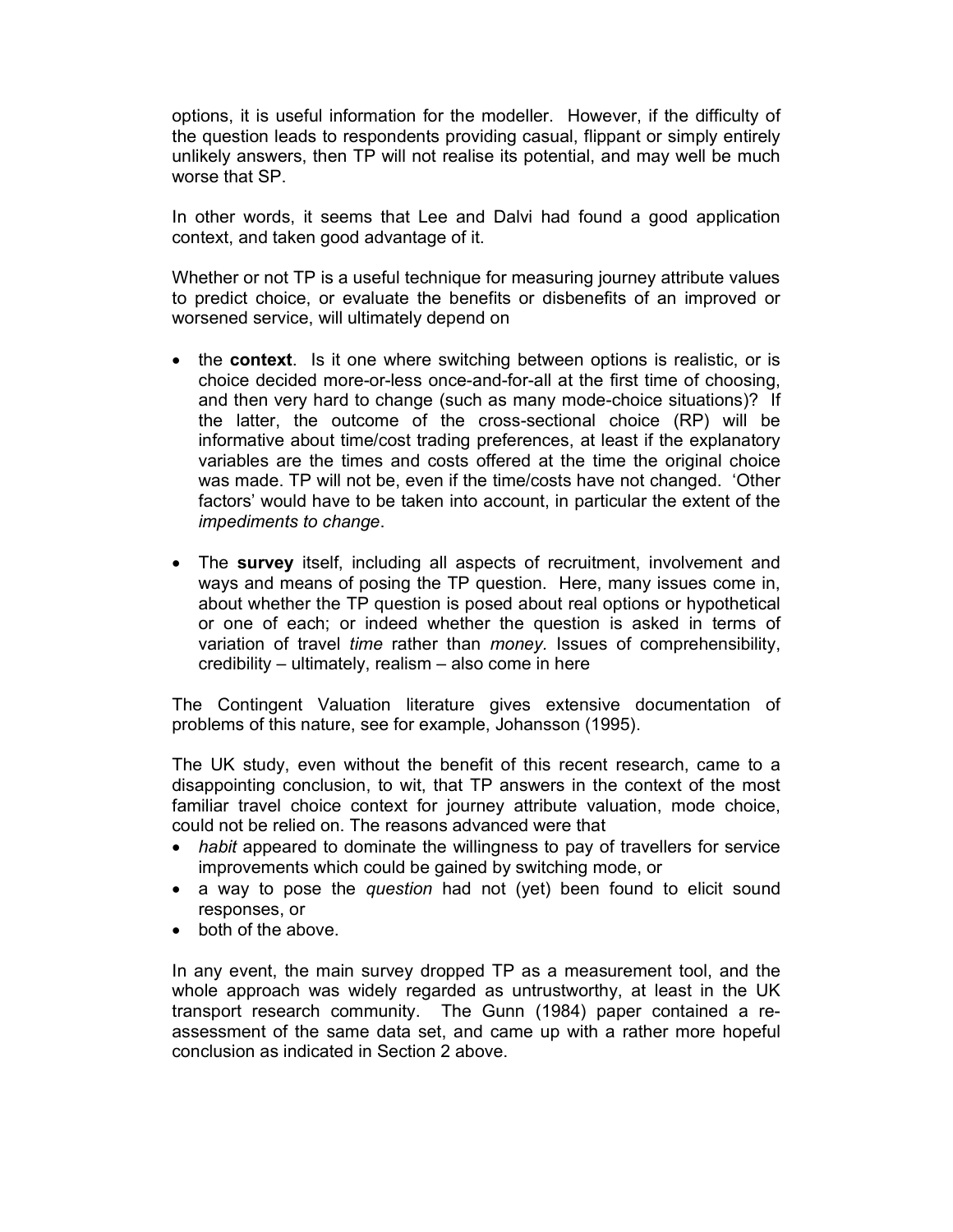options, it is useful information for the modeller. However, if the difficulty of the question leads to respondents providing casual, flippant or simply entirely unlikely answers, then TP will not realise its potential, and may well be much worse that SP.

In other words, it seems that Lee and Dalvi had found a good application context, and taken good advantage of it.

Whether or not TP is a useful technique for measuring journey attribute values to predict choice, or evaluate the benefits or disbenefits of an improved or worsened service, will ultimately depend on

- the context. Is it one where switching between options is realistic, or is choice decided more-or-less once-and-for-all at the first time of choosing, and then very hard to change (such as many mode-choice situations)? If the latter, the outcome of the cross-sectional choice (RP) will be informative about time/cost trading preferences, at least if the explanatory variables are the times and costs offered at the time the original choice was made. TP will not be, even if the time/costs have not changed. 'Other factors' would have to be taken into account, in particular the extent of the impediments to change.
- The survey itself, including all aspects of recruitment, involvement and ways and means of posing the TP question. Here, many issues come in, about whether the TP question is posed about real options or hypothetical or one of each; or indeed whether the question is asked in terms of variation of travel time rather than money. Issues of comprehensibility, credibility – ultimately, realism – also come in here

The Contingent Valuation literature gives extensive documentation of problems of this nature, see for example, Johansson (1995).

The UK study, even without the benefit of this recent research, came to a disappointing conclusion, to wit, that TP answers in the context of the most familiar travel choice context for journey attribute valuation, mode choice, could not be relied on. The reasons advanced were that

- habit appeared to dominate the willingness to pay of travellers for service improvements which could be gained by switching mode, or
- a way to pose the question had not (yet) been found to elicit sound responses, or
- both of the above.

In any event, the main survey dropped TP as a measurement tool, and the whole approach was widely regarded as untrustworthy, at least in the UK transport research community. The Gunn (1984) paper contained a reassessment of the same data set, and came up with a rather more hopeful conclusion as indicated in Section 2 above.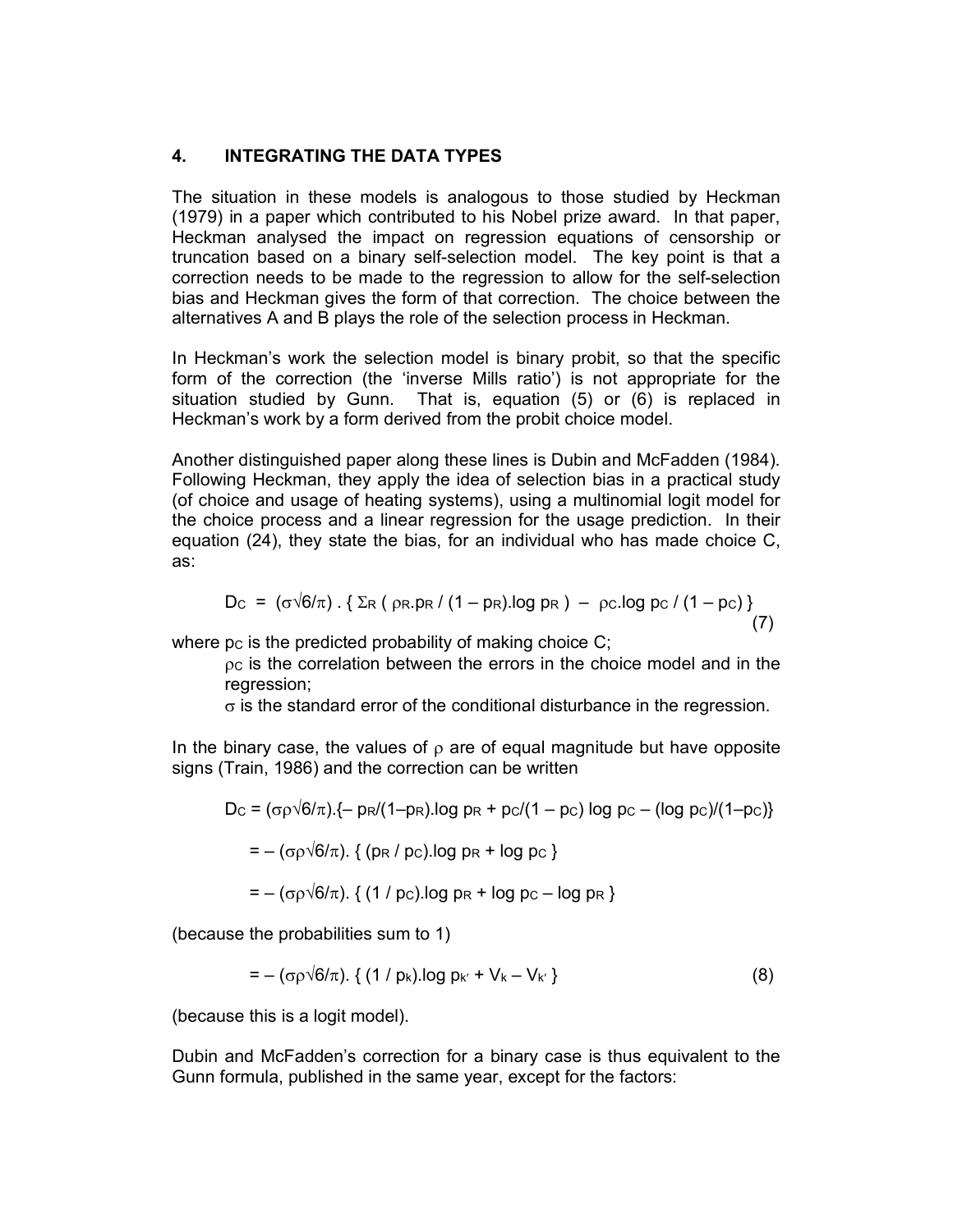## 4. INTEGRATING THE DATA TYPES

The situation in these models is analogous to those studied by Heckman (1979) in a paper which contributed to his Nobel prize award. In that paper, Heckman analysed the impact on regression equations of censorship or truncation based on a binary self-selection model. The key point is that a correction needs to be made to the regression to allow for the self-selection bias and Heckman gives the form of that correction. The choice between the alternatives A and B plays the role of the selection process in Heckman.

In Heckman's work the selection model is binary probit, so that the specific form of the correction (the 'inverse Mills ratio') is not appropriate for the situation studied by Gunn. That is, equation (5) or (6) is replaced in Heckman's work by a form derived from the probit choice model.

Another distinguished paper along these lines is Dubin and McFadden (1984). Following Heckman, they apply the idea of selection bias in a practical study (of choice and usage of heating systems), using a multinomial logit model for the choice process and a linear regression for the usage prediction. In their equation (24), they state the bias, for an individual who has made choice C, as:

$$
D_{C} = (\sigma \sqrt{6}/\pi) \cdot \{ \Sigma_{R} (\rho_{R} \cdot p_{R} / (1 - p_{R}) \cdot \log p_{R}) - \rho_{C} \cdot \log p_{C} / (1 - p_{C}) \}
$$
(7)

where  $pc$  is the predicted probability of making choice  $C_i$ 

 $pc$  is the correlation between the errors in the choice model and in the regression;

 $\sigma$  is the standard error of the conditional disturbance in the regression.

In the binary case, the values of  $\rho$  are of equal magnitude but have opposite signs (Train, 1986) and the correction can be written

Dc = (σρ√6/π).{- p
$$
R/(1-p $R$ ).log p $R$  + p $c/(1-p $c$ )log p $c$  – (log p $c$ )/(1-p $c$ )}  
= – (σρ√6/π). { (p $R$  / p $c$ ).log p $R$  + log p $c$ }$
$$

$$
=-(\sigma \rho \sqrt{6/\pi})
$$
. {( (1 / pc).log pr + log pc – log pr }

(because the probabilities sum to 1)

$$
= -(\sigma \rho \sqrt{6/\pi}) \cdot \{ (1/p_k) \log p_{k'} + V_k - V_{k'} \}
$$
 (8)

(because this is a logit model).

Dubin and McFadden's correction for a binary case is thus equivalent to the Gunn formula, published in the same year, except for the factors: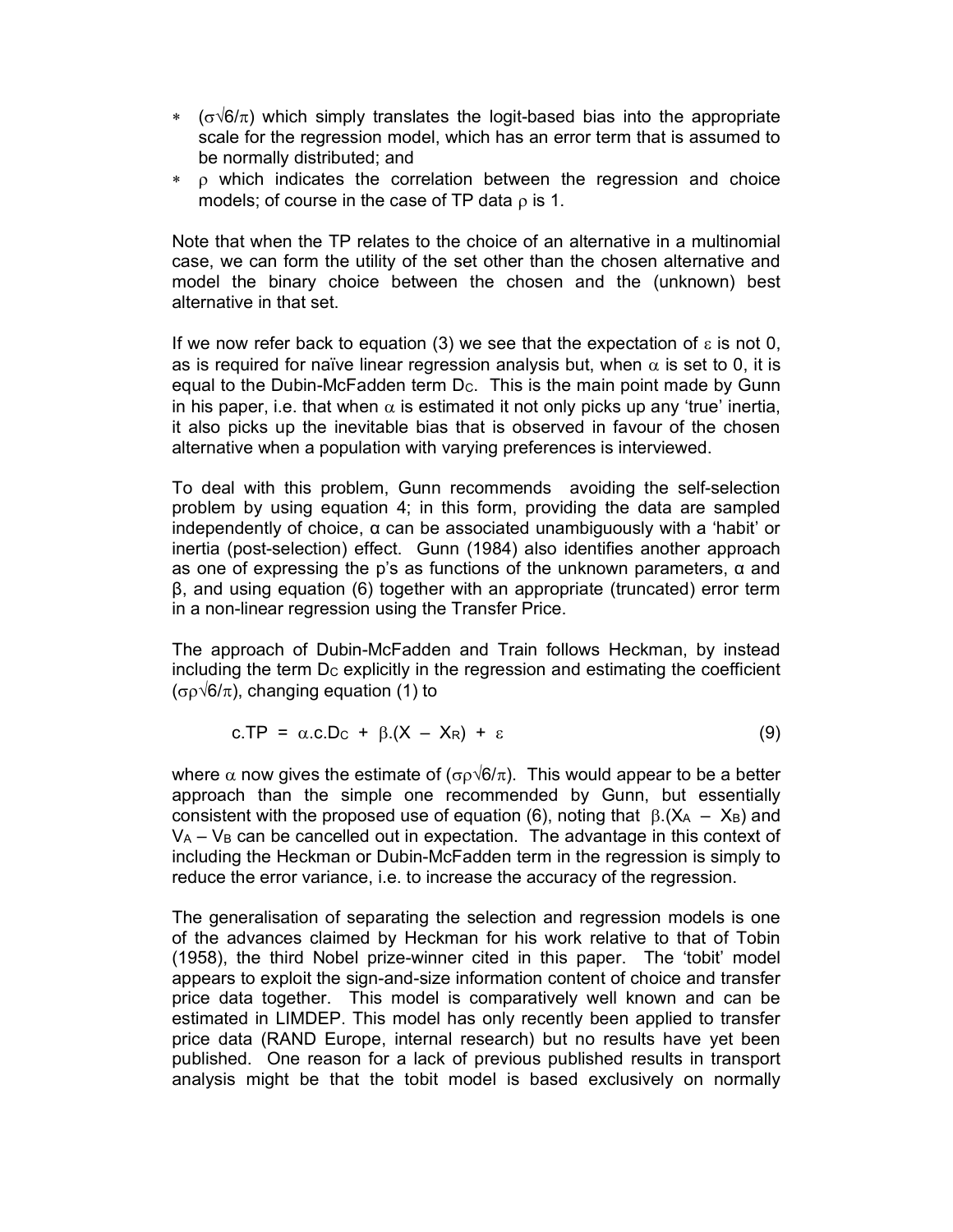- $\star$  ( $\sigma\sqrt{6}/\pi$ ) which simply translates the logit-based bias into the appropriate scale for the regression model, which has an error term that is assumed to be normally distributed; and
- $\ast$   $\rho$  which indicates the correlation between the regression and choice models; of course in the case of TP data  $\rho$  is 1.

Note that when the TP relates to the choice of an alternative in a multinomial case, we can form the utility of the set other than the chosen alternative and model the binary choice between the chosen and the (unknown) best alternative in that set.

If we now refer back to equation (3) we see that the expectation of  $\varepsilon$  is not 0, as is required for naïve linear regression analysis but, when  $\alpha$  is set to 0, it is equal to the Dubin-McFadden term Dc. This is the main point made by Gunn in his paper, i.e. that when  $\alpha$  is estimated it not only picks up any 'true' inertia, it also picks up the inevitable bias that is observed in favour of the chosen alternative when a population with varying preferences is interviewed.

To deal with this problem, Gunn recommends avoiding the self-selection problem by using equation 4; in this form, providing the data are sampled independently of choice, α can be associated unambiguously with a 'habit' or inertia (post-selection) effect. Gunn (1984) also identifies another approach as one of expressing the p's as functions of the unknown parameters, α and β, and using equation (6) together with an appropriate (truncated) error term in a non-linear regression using the Transfer Price.

The approach of Dubin-McFadden and Train follows Heckman, by instead including the term  $D<sub>C</sub>$  explicitly in the regression and estimating the coefficient  $(\sigma \rho \sqrt{6/\pi})$ , changing equation (1) to

$$
c.\mathsf{TP} = \alpha.c.D_{\mathsf{C}} + \beta.(X - X_{\mathsf{R}}) + \varepsilon \tag{9}
$$

where  $\alpha$  now gives the estimate of ( $\sigma \rho \sqrt{6/\pi}$ ). This would appear to be a better approach than the simple one recommended by Gunn, but essentially consistent with the proposed use of equation (6), noting that  $\beta$ .(X<sub>A</sub> – X<sub>B</sub>) and  $V_A - V_B$  can be cancelled out in expectation. The advantage in this context of including the Heckman or Dubin-McFadden term in the regression is simply to reduce the error variance, i.e. to increase the accuracy of the regression.

The generalisation of separating the selection and regression models is one of the advances claimed by Heckman for his work relative to that of Tobin (1958), the third Nobel prize-winner cited in this paper. The 'tobit' model appears to exploit the sign-and-size information content of choice and transfer price data together. This model is comparatively well known and can be estimated in LIMDEP. This model has only recently been applied to transfer price data (RAND Europe, internal research) but no results have yet been published. One reason for a lack of previous published results in transport analysis might be that the tobit model is based exclusively on normally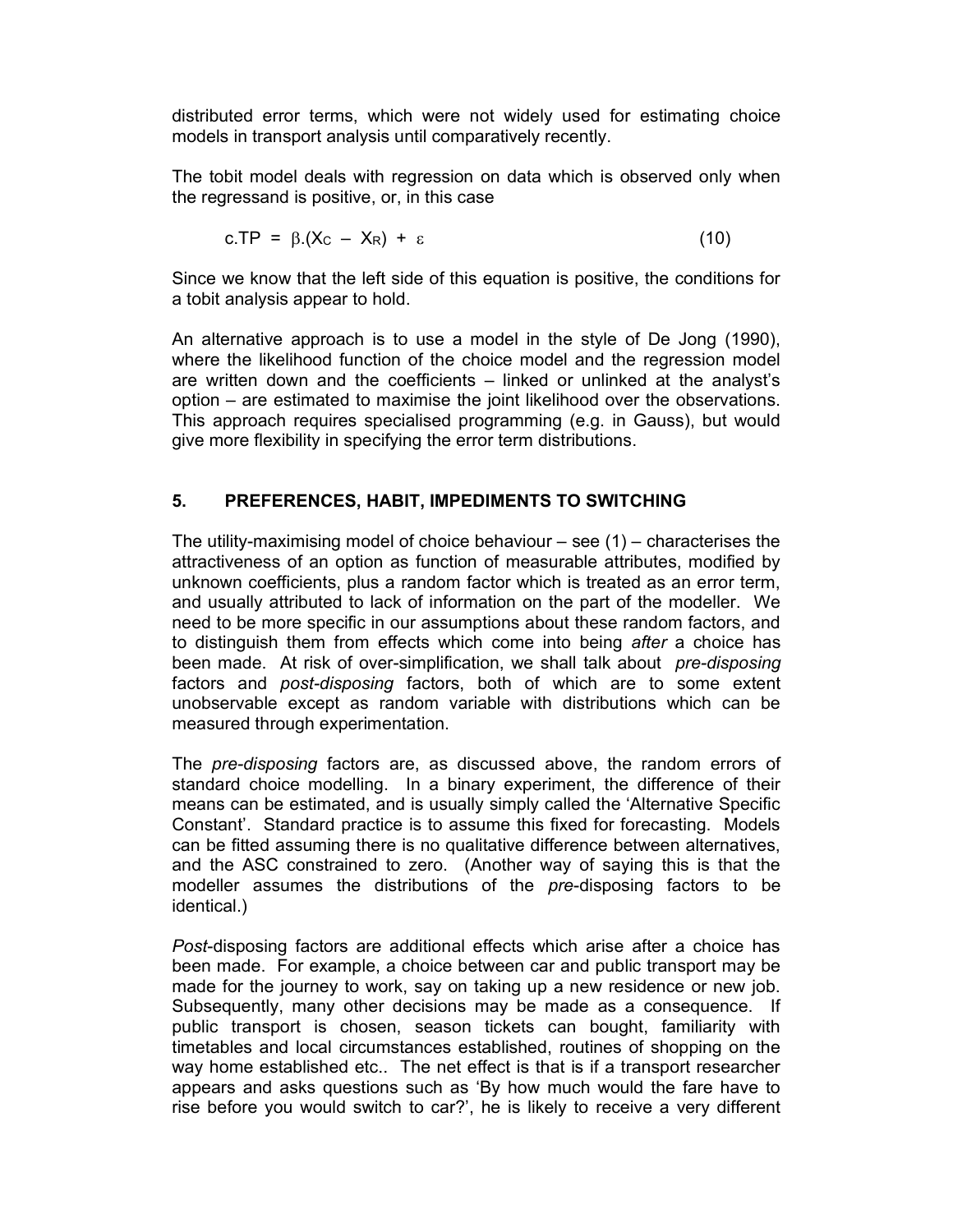distributed error terms, which were not widely used for estimating choice models in transport analysis until comparatively recently.

The tobit model deals with regression on data which is observed only when the regressand is positive, or, in this case

$$
c.\mathsf{TP} = \beta.(Xc - X_R) + \varepsilon \tag{10}
$$

Since we know that the left side of this equation is positive, the conditions for a tobit analysis appear to hold.

An alternative approach is to use a model in the style of De Jong (1990), where the likelihood function of the choice model and the regression model are written down and the coefficients – linked or unlinked at the analyst's option – are estimated to maximise the joint likelihood over the observations. This approach requires specialised programming (e.g. in Gauss), but would give more flexibility in specifying the error term distributions.

# 5. PREFERENCES, HABIT, IMPEDIMENTS TO SWITCHING

The utility-maximising model of choice behaviour  $-$  see (1) – characterises the attractiveness of an option as function of measurable attributes, modified by unknown coefficients, plus a random factor which is treated as an error term, and usually attributed to lack of information on the part of the modeller. We need to be more specific in our assumptions about these random factors, and to distinguish them from effects which come into being after a choice has been made. At risk of over-simplification, we shall talk about *pre-disposing* factors and *post-disposing* factors, both of which are to some extent unobservable except as random variable with distributions which can be measured through experimentation.

The *pre-disposing* factors are, as discussed above, the random errors of standard choice modelling. In a binary experiment, the difference of their means can be estimated, and is usually simply called the 'Alternative Specific Constant'. Standard practice is to assume this fixed for forecasting. Models can be fitted assuming there is no qualitative difference between alternatives, and the ASC constrained to zero. (Another way of saying this is that the modeller assumes the distributions of the *pre*-disposing factors to be identical.)

Post-disposing factors are additional effects which arise after a choice has been made. For example, a choice between car and public transport may be made for the journey to work, say on taking up a new residence or new job. Subsequently, many other decisions may be made as a consequence. If public transport is chosen, season tickets can bought, familiarity with timetables and local circumstances established, routines of shopping on the way home established etc.. The net effect is that is if a transport researcher appears and asks questions such as 'By how much would the fare have to rise before you would switch to car?', he is likely to receive a very different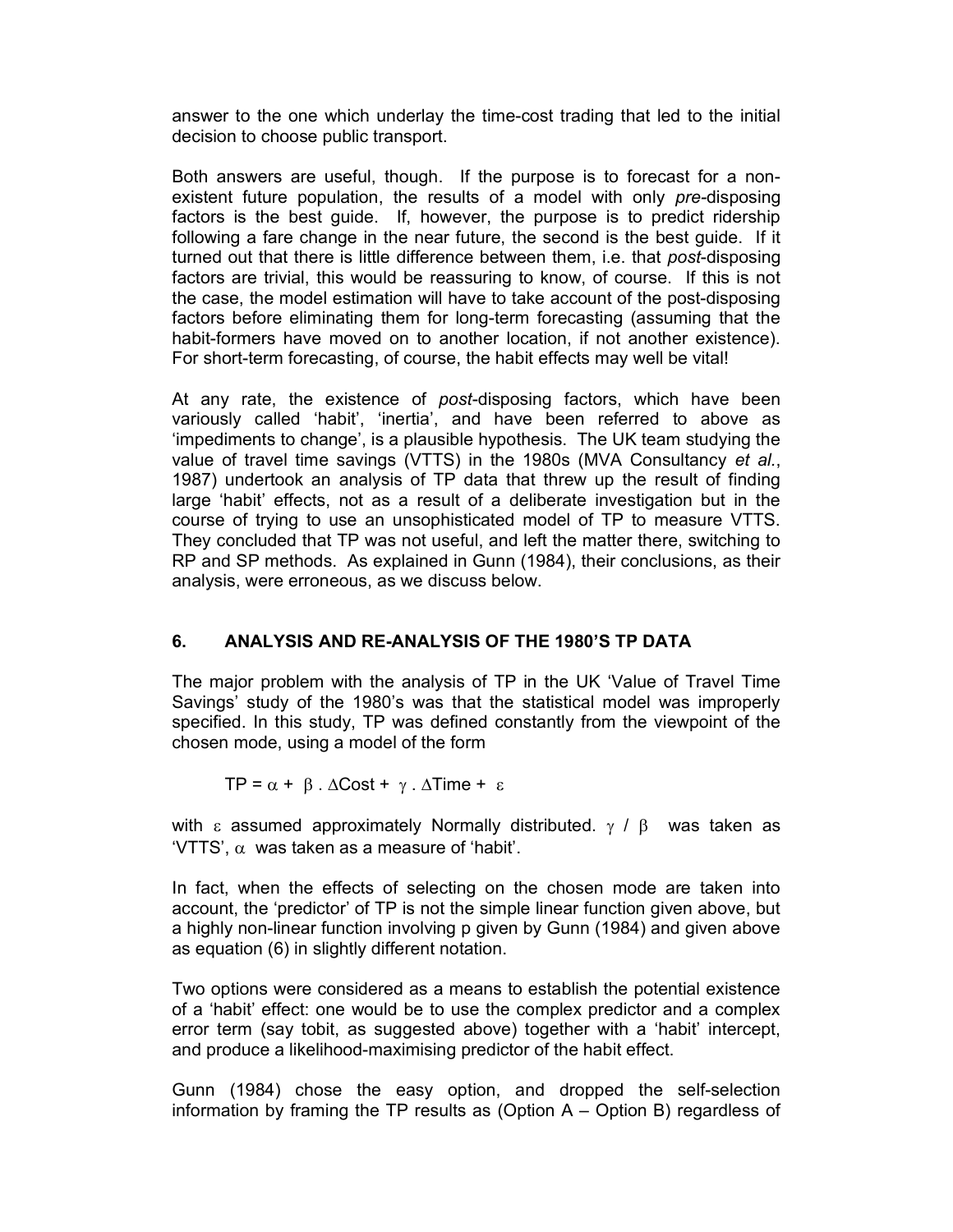answer to the one which underlay the time-cost trading that led to the initial decision to choose public transport.

Both answers are useful, though. If the purpose is to forecast for a nonexistent future population, the results of a model with only pre-disposing factors is the best guide. If, however, the purpose is to predict ridership following a fare change in the near future, the second is the best guide. If it turned out that there is little difference between them, i.e. that post-disposing factors are trivial, this would be reassuring to know, of course. If this is not the case, the model estimation will have to take account of the post-disposing factors before eliminating them for long-term forecasting (assuming that the habit-formers have moved on to another location, if not another existence). For short-term forecasting, of course, the habit effects may well be vital!

At any rate, the existence of post-disposing factors, which have been variously called 'habit', 'inertia', and have been referred to above as 'impediments to change', is a plausible hypothesis. The UK team studying the value of travel time savings (VTTS) in the 1980s (MVA Consultancy et al., 1987) undertook an analysis of TP data that threw up the result of finding large 'habit' effects, not as a result of a deliberate investigation but in the course of trying to use an unsophisticated model of TP to measure VTTS. They concluded that TP was not useful, and left the matter there, switching to RP and SP methods. As explained in Gunn (1984), their conclusions, as their analysis, were erroneous, as we discuss below.

# 6. ANALYSIS AND RE-ANALYSIS OF THE 1980'S TP DATA

The major problem with the analysis of TP in the UK 'Value of Travel Time Savings' study of the 1980's was that the statistical model was improperly specified. In this study, TP was defined constantly from the viewpoint of the chosen mode, using a model of the form

 $TP = \alpha + \beta$ .  $\Delta Cost + \gamma$ .  $\Delta Time + \varepsilon$ 

with a assumed approximately Normally distributed.  $\gamma$  /  $\beta$  was taken as 'VTTS',  $\alpha$  was taken as a measure of 'habit'.

In fact, when the effects of selecting on the chosen mode are taken into account, the 'predictor' of TP is not the simple linear function given above, but a highly non-linear function involving p given by Gunn (1984) and given above as equation (6) in slightly different notation.

Two options were considered as a means to establish the potential existence of a 'habit' effect: one would be to use the complex predictor and a complex error term (say tobit, as suggested above) together with a 'habit' intercept, and produce a likelihood-maximising predictor of the habit effect.

Gunn (1984) chose the easy option, and dropped the self-selection information by framing the TP results as (Option A – Option B) regardless of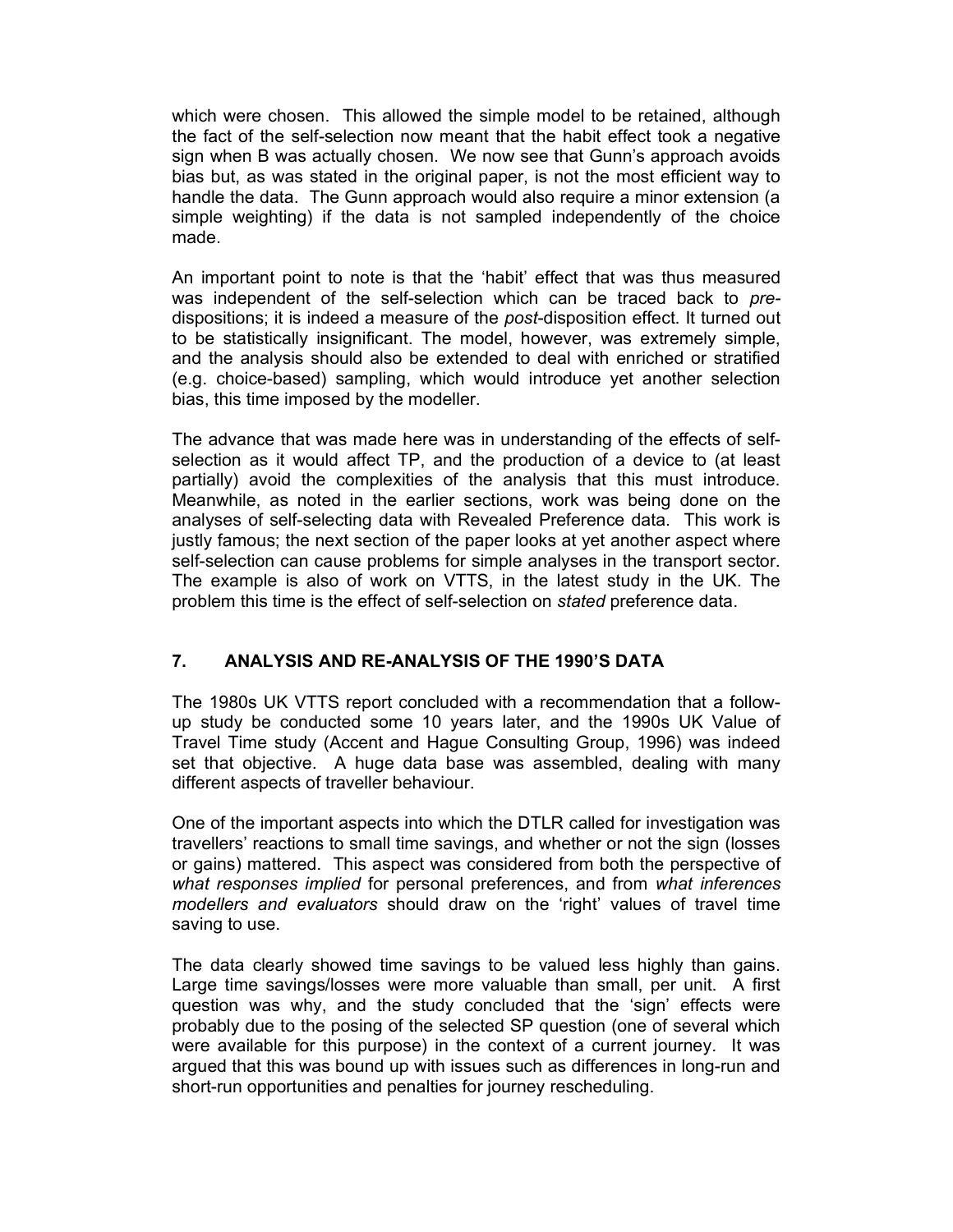which were chosen. This allowed the simple model to be retained, although the fact of the self-selection now meant that the habit effect took a negative sign when B was actually chosen. We now see that Gunn's approach avoids bias but, as was stated in the original paper, is not the most efficient way to handle the data. The Gunn approach would also require a minor extension (a simple weighting) if the data is not sampled independently of the choice made.

An important point to note is that the 'habit' effect that was thus measured was independent of the self-selection which can be traced back to predispositions; it is indeed a measure of the post-disposition effect. It turned out to be statistically insignificant. The model, however, was extremely simple, and the analysis should also be extended to deal with enriched or stratified (e.g. choice-based) sampling, which would introduce yet another selection bias, this time imposed by the modeller.

The advance that was made here was in understanding of the effects of selfselection as it would affect TP, and the production of a device to (at least partially) avoid the complexities of the analysis that this must introduce. Meanwhile, as noted in the earlier sections, work was being done on the analyses of self-selecting data with Revealed Preference data. This work is justly famous; the next section of the paper looks at yet another aspect where self-selection can cause problems for simple analyses in the transport sector. The example is also of work on VTTS, in the latest study in the UK. The problem this time is the effect of self-selection on stated preference data.

# 7. ANALYSIS AND RE-ANALYSIS OF THE 1990'S DATA

The 1980s UK VTTS report concluded with a recommendation that a followup study be conducted some 10 years later, and the 1990s UK Value of Travel Time study (Accent and Hague Consulting Group, 1996) was indeed set that objective. A huge data base was assembled, dealing with many different aspects of traveller behaviour.

One of the important aspects into which the DTLR called for investigation was travellers' reactions to small time savings, and whether or not the sign (losses or gains) mattered. This aspect was considered from both the perspective of what responses implied for personal preferences, and from what inferences modellers and evaluators should draw on the 'right' values of travel time saving to use.

The data clearly showed time savings to be valued less highly than gains. Large time savings/losses were more valuable than small, per unit. A first question was why, and the study concluded that the 'sign' effects were probably due to the posing of the selected SP question (one of several which were available for this purpose) in the context of a current journey. It was argued that this was bound up with issues such as differences in long-run and short-run opportunities and penalties for journey rescheduling.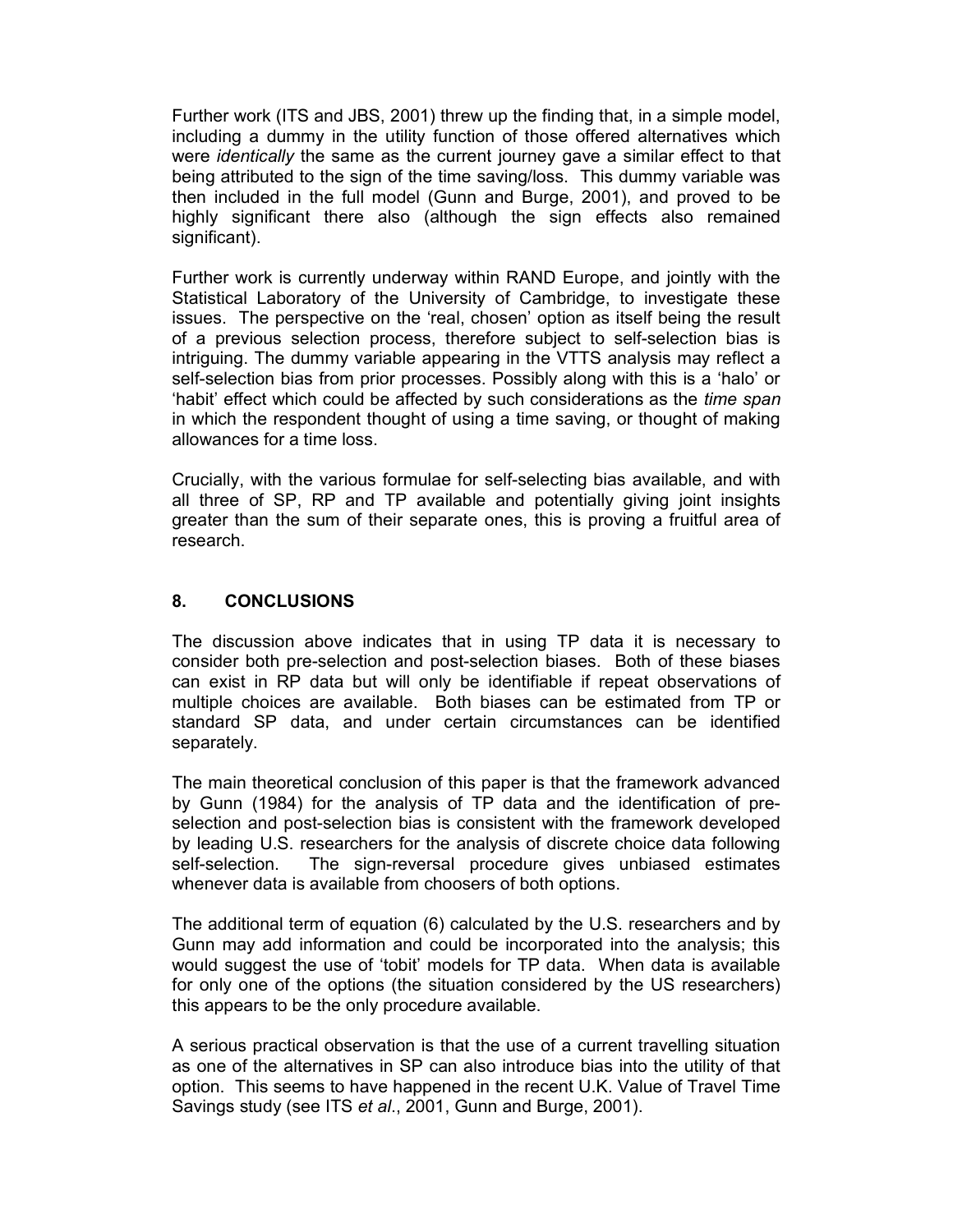Further work (ITS and JBS, 2001) threw up the finding that, in a simple model, including a dummy in the utility function of those offered alternatives which were *identically* the same as the current journey gave a similar effect to that being attributed to the sign of the time saving/loss. This dummy variable was then included in the full model (Gunn and Burge, 2001), and proved to be highly significant there also (although the sign effects also remained significant).

Further work is currently underway within RAND Europe, and jointly with the Statistical Laboratory of the University of Cambridge, to investigate these issues. The perspective on the 'real, chosen' option as itself being the result of a previous selection process, therefore subject to self-selection bias is intriguing. The dummy variable appearing in the VTTS analysis may reflect a self-selection bias from prior processes. Possibly along with this is a 'halo' or 'habit' effect which could be affected by such considerations as the time span in which the respondent thought of using a time saving, or thought of making allowances for a time loss.

Crucially, with the various formulae for self-selecting bias available, and with all three of SP, RP and TP available and potentially giving joint insights greater than the sum of their separate ones, this is proving a fruitful area of research.

## 8. CONCLUSIONS

The discussion above indicates that in using TP data it is necessary to consider both pre-selection and post-selection biases. Both of these biases can exist in RP data but will only be identifiable if repeat observations of multiple choices are available. Both biases can be estimated from TP or standard SP data, and under certain circumstances can be identified separately.

The main theoretical conclusion of this paper is that the framework advanced by Gunn (1984) for the analysis of TP data and the identification of preselection and post-selection bias is consistent with the framework developed by leading U.S. researchers for the analysis of discrete choice data following self-selection. The sign-reversal procedure gives unbiased estimates whenever data is available from choosers of both options.

The additional term of equation (6) calculated by the U.S. researchers and by Gunn may add information and could be incorporated into the analysis; this would suggest the use of 'tobit' models for TP data. When data is available for only one of the options (the situation considered by the US researchers) this appears to be the only procedure available.

A serious practical observation is that the use of a current travelling situation as one of the alternatives in SP can also introduce bias into the utility of that option. This seems to have happened in the recent U.K. Value of Travel Time Savings study (see ITS et al., 2001, Gunn and Burge, 2001).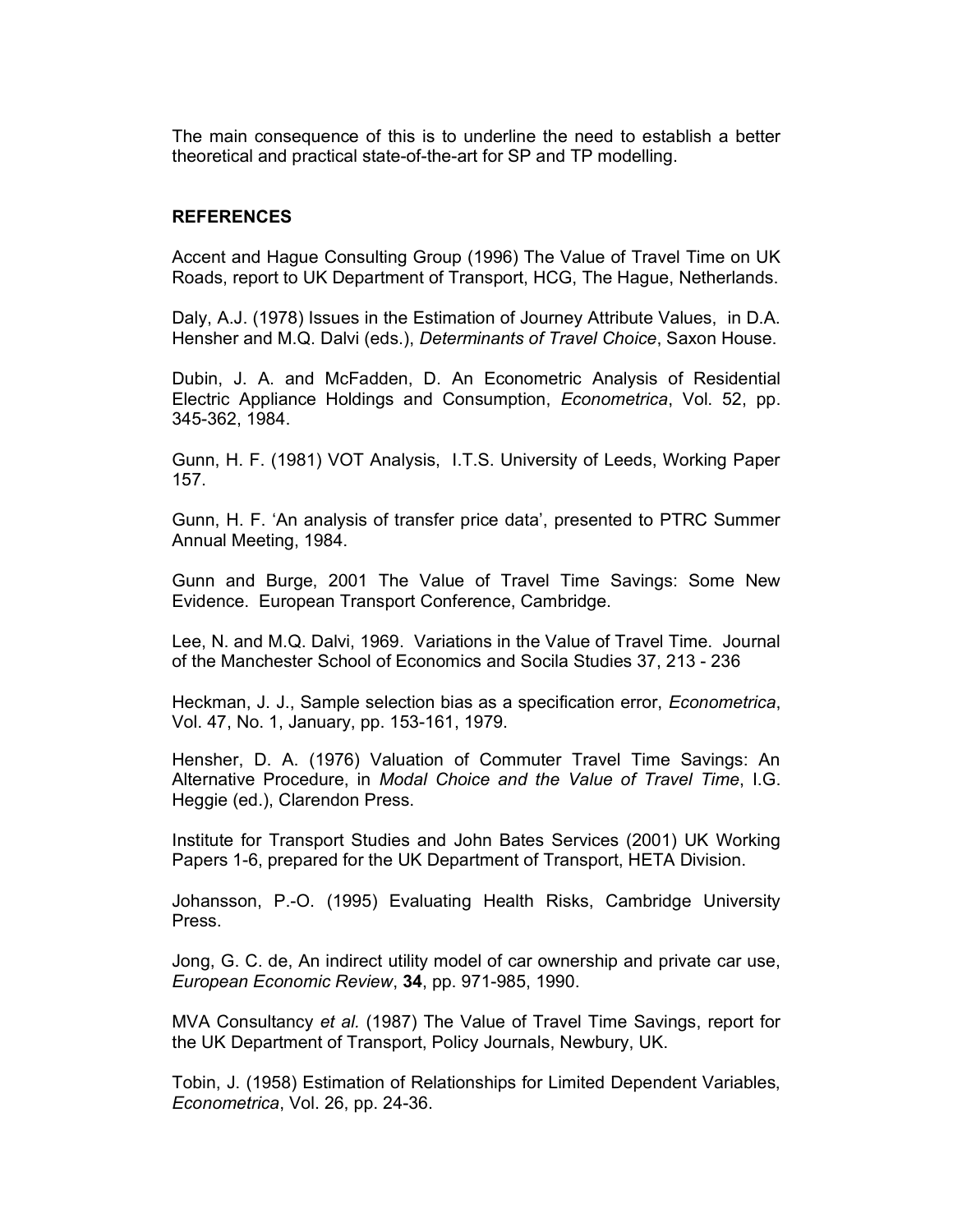The main consequence of this is to underline the need to establish a better theoretical and practical state-of-the-art for SP and TP modelling.

#### REFERENCES

Accent and Hague Consulting Group (1996) The Value of Travel Time on UK Roads, report to UK Department of Transport, HCG, The Hague, Netherlands.

Daly, A.J. (1978) Issues in the Estimation of Journey Attribute Values, in D.A. Hensher and M.Q. Dalvi (eds.), Determinants of Travel Choice, Saxon House.

Dubin, J. A. and McFadden, D. An Econometric Analysis of Residential Electric Appliance Holdings and Consumption, Econometrica, Vol. 52, pp. 345-362, 1984.

Gunn, H. F. (1981) VOT Analysis, I.T.S. University of Leeds, Working Paper 157.

Gunn, H. F. 'An analysis of transfer price data', presented to PTRC Summer Annual Meeting, 1984.

Gunn and Burge, 2001 The Value of Travel Time Savings: Some New Evidence. European Transport Conference, Cambridge.

Lee, N. and M.Q. Dalvi, 1969. Variations in the Value of Travel Time. Journal of the Manchester School of Economics and Socila Studies 37, 213 - 236

Heckman, J. J., Sample selection bias as a specification error, Econometrica, Vol. 47, No. 1, January, pp. 153-161, 1979.

Hensher, D. A. (1976) Valuation of Commuter Travel Time Savings: An Alternative Procedure, in Modal Choice and the Value of Travel Time, I.G. Heggie (ed.), Clarendon Press.

Institute for Transport Studies and John Bates Services (2001) UK Working Papers 1-6, prepared for the UK Department of Transport, HETA Division.

Johansson, P.-O. (1995) Evaluating Health Risks, Cambridge University Press.

Jong, G. C. de, An indirect utility model of car ownership and private car use, European Economic Review, 34, pp. 971-985, 1990.

MVA Consultancy et al. (1987) The Value of Travel Time Savings, report for the UK Department of Transport, Policy Journals, Newbury, UK.

Tobin, J. (1958) Estimation of Relationships for Limited Dependent Variables, Econometrica, Vol. 26, pp. 24-36.